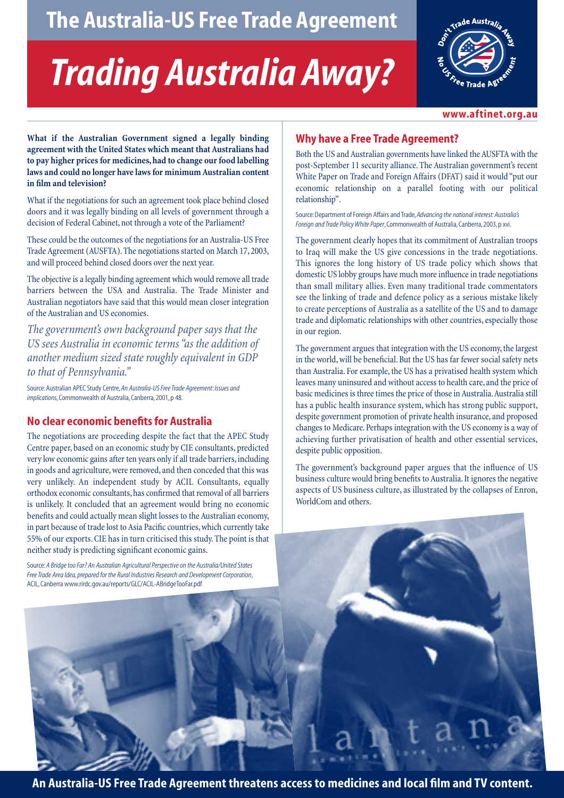## **The Australia-US Free Trade Agreement**

# *Trading Australia Away?*



**www.aftinet.org.au**

**What if the Australian Government signed a legally binding agreement with the United States which meant that Australians had to pay higher prices for medicines, had to change our food labelling laws and could no longer have laws for minimum Australian content in film and television?**

What if the negotiations for such an agreement took place behind closed doors and it was legally binding on all levels of government through a decision of Federal Cabinet, not through a vote of the Parliament?

These could be the outcomes of the negotiations for an Australia-US Free Trade Agreement (AUSFTA). The negotiations started on March 17, 2003, and will proceed behind closed doors over the next year.

The objective is a legally binding agreement which would remove all trade barriers between the USA and Australia. The Trade Minister and Australian negotiators have said that this would mean closer integration of the Australian and US economies.

*The government's own background paper says that the US sees Australia in economic terms "as the addition of another medium sized state roughly equivalent in GDP to that of Pennsylvania."*

Source: Australian APEC Study Centre,*An Australia-US Free Trade Agreement: Issues and implications*, Commonwealth of Australia, Canberra, 2001, p 48.

#### **No clear economic benefits for Australia**

The negotiations are proceeding despite the fact that the APEC Study Centre paper, based on an economic study by CIE consultants, predicted very low economic gains after ten years only if all trade barriers, including in goods and agriculture, were removed, and then conceded that this was very unlikely. An independent study by ACIL Consultants, equally orthodox economic consultants, has confirmed that removal of all barriers is unlikely. It concluded that an agreement would bring no economic benefits and could actually mean slight losses to the Australian economy, in part because of trade lost to Asia Pacific countries, which currently take 55% of our exports. CIE has in turn criticised this study. The point is that neither study is predicting significant economic gains.

Source:*A Bridge too Far? An Australian Agricultural Perspective on the Australia/United States Free Trade Area Idea, prepared for the Rural Industries Research and Development Corporation*, ACIL, Canberra www.rirdc.gov.au/reports/GLC/ACIL-ABridgeTooFar.pdf

### **Why have a Free Trade Agreement?**

Both the US and Australian governments have linked the AUSFTA with the post-September 11 security alliance. The Australian government's recent White Paper on Trade and Foreign Affairs (DFAT) said it would "put our economic relationship on a parallel footing with our political relationship".

Source: Department of Foreign Affairs and Trade,*Advancing the national interest: Australia's Foreign and Trade Policy White Paper*, Commonwealth of Australia, Canberra, 2003, p xvi.

The government clearly hopes that its commitment of Australian troops to Iraq will make the US give concessions in the trade negotiations. This ignores the long history of US trade policy which shows that domestic US lobby groups have much more influence in trade negotiations than small military allies. Even many traditional trade commentators see the linking of trade and defence policy as a serious mistake likely to create perceptions of Australia as a satellite of the US and to damage trade and diplomatic relationships with other countries, especially those in our region.

The government argues that integration with the US economy, the largest in the world, will be beneficial. But the US has far fewer social safety nets than Australia. For example, the US has a privatised health system which leaves many uninsured and without access to health care, and the price of basic medicines is three times the price of those in Australia.Australia still has a public health insurance system, which has strong public support, despite government promotion of private health insurance, and proposed changes to Medicare. Perhaps integration with the US economy is a way of achieving further privatisation of health and other essential services, despite public opposition.

The government's background paper argues that the influence of US business culture would bring benefits to Australia. It ignores the negative aspects of US business culture, as illustrated by the collapses of Enron, WorldCom and others.

**An Australia-US Free Trade Agreement threatens access to medicines and local film and TV content.**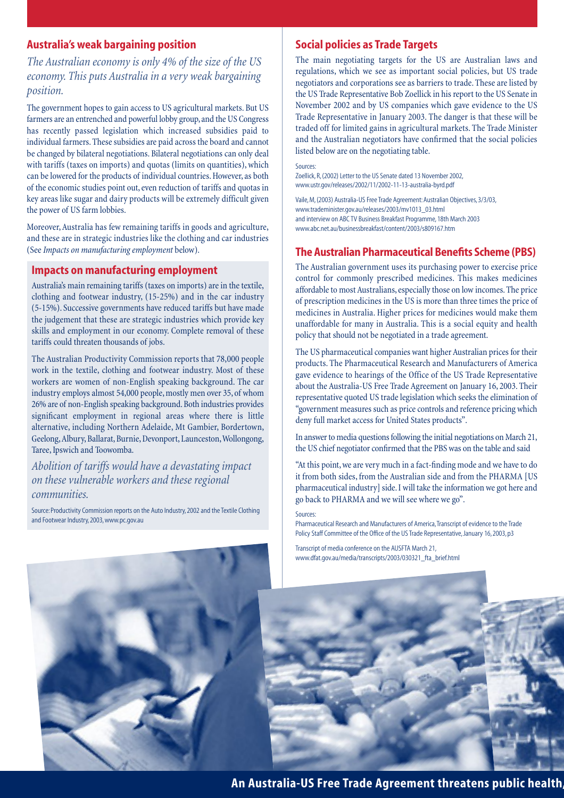#### **Australia's weak bargaining position**

*The Australian economy is only 4% of the size of the US economy. This puts Australia in a very weak bargaining position.*

The government hopes to gain access to US agricultural markets. But US farmers are an entrenched and powerful lobby group, and the US Congress has recently passed legislation which increased subsidies paid to individual farmers. These subsidies are paid across the board and cannot be changed by bilateral negotiations. Bilateral negotiations can only deal with tariffs (taxes on imports) and quotas (limits on quantities), which can be lowered for the products of individual countries. However, as both of the economic studies point out, even reduction of tariffs and quotas in key areas like sugar and dairy products will be extremely difficult given the power of US farm lobbies.

Moreover, Australia has few remaining tariffs in goods and agriculture, and these are in strategic industries like the clothing and car industries (See *Impacts on manufacturing employment* below).

#### **Impacts on manufacturing employment**

Australia's main remaining tariffs (taxes on imports) are in the textile, clothing and footwear industry, (15-25%) and in the car industry (5-15%). Successive governments have reduced tariffs but have made the judgement that these are strategic industries which provide key skills and employment in our economy. Complete removal of these tariffs could threaten thousands of jobs.

The Australian Productivity Commission reports that 78,000 people work in the textile, clothing and footwear industry. Most of these workers are women of non-English speaking background. The car industry employs almost 54,000 people, mostly men over 35, of whom 26% are of non-English speaking background. Both industries provides significant employment in regional areas where there is little alternative, including Northern Adelaide, Mt Gambier, Bordertown, Geelong,Albury, Ballarat, Burnie, Devonport, Launceston,Wollongong, Taree, Ipswich and Toowomba.

*Abolition of tariffs would have a devastating impact on these vulnerable workers and these regional communities.*

Source: Productivity Commission reports on the Auto Industry, 2002 and the Textile Clothing and Footwear Industry, 2003, www.pc.gov.au

#### **Social policies as Trade Targets**

The main negotiating targets for the US are Australian laws and regulations, which we see as important social policies, but US trade negotiators and corporations see as barriers to trade. These are listed by the US Trade Representative Bob Zoellick in his report to the US Senate in November 2002 and by US companies which gave evidence to the US Trade Representative in January 2003. The danger is that these will be traded off for limited gains in agricultural markets. The Trade Minister and the Australian negotiators have confirmed that the social policies listed below are on the negotiating table.

Sources:

Zoellick, R, (2002) Letter to the US Senate dated 13 November 2002, www.ustr.gov/releases/2002/11/2002-11-13-australia-byrd.pdf

Vaile, M, (2003) Australia-US Free Trade Agreement: Australian Objectives, 3/3/03, www.trademinister.gov.au/releases/2003/mv1013\_03.html and interview on ABC TV Business Breakfast Programme, 18th March 2003 www.abc.net.au/businessbreakfast/content/2003/s809167.htm

#### **The Australian Pharmaceutical Benefits Scheme (PBS)**

The Australian government uses its purchasing power to exercise price control for commonly prescribed medicines. This makes medicines affordable to most Australians, especially those on low incomes. The price of prescription medicines in the US is more than three times the price of medicines in Australia. Higher prices for medicines would make them unaffordable for many in Australia. This is a social equity and health policy that should not be negotiated in a trade agreement.

The US pharmaceutical companies want higher Australian prices for their products. The Pharmaceutical Research and Manufacturers of America gave evidence to hearings of the Office of the US Trade Representative about the Australia-US Free Trade Agreement on January 16, 2003. Their representative quoted US trade legislation which seeks the elimination of "government measures such as price controls and reference pricing which deny full market access for United States products".

In answer to media questions following the initial negotiations on March 21, the US chief negotiator confirmed that the PBS was on the table and said

"At this point, we are very much in a fact-finding mode and we have to do it from both sides, from the Australian side and from the PHARMA [US pharmaceutical industry] side. I will take the information we got here and go back to PHARMA and we will see where we go".

Sources:

Pharmaceutical Research and Manufacturers of America,Transcript of evidence to the Trade Policy Staff Committee of the Office of the US Trade Representative, January 16, 2003, p3

Transcript of media conference on the AUSFTA March 21, www.dfat.gov.au/media/transcripts/2003/030321\_fta\_brief.html



**An Australia-US Free Trade Agreement threatens public health,**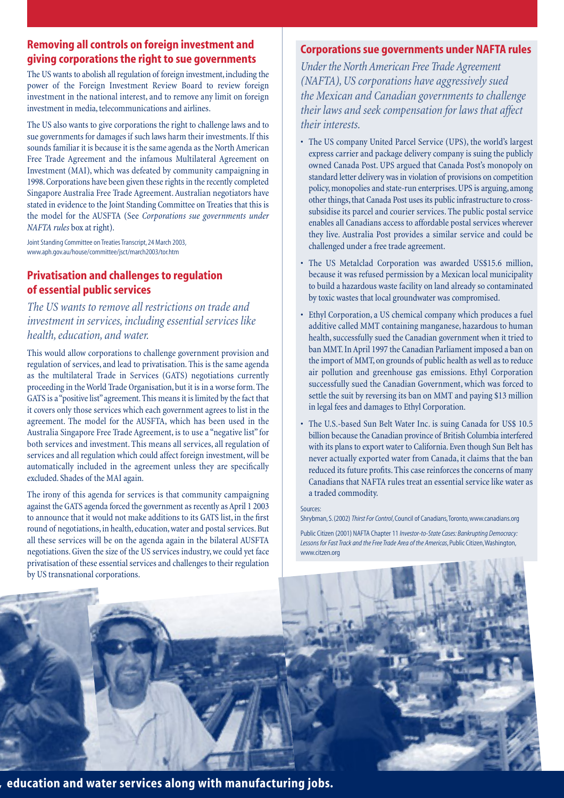#### **Removing all controls on foreign investment and giving corporations the right to sue governments**

The US wants to abolish all regulation of foreign investment, including the power of the Foreign Investment Review Board to review foreign investment in the national interest, and to remove any limit on foreign investment in media, telecommunications and airlines.

The US also wants to give corporations the right to challenge laws and to sue governments for damages if such laws harm their investments. If this sounds familiar it is because it is the same agenda as the North American Free Trade Agreement and the infamous Multilateral Agreement on Investment (MAI), which was defeated by community campaigning in 1998. Corporations have been given these rights in the recently completed Singapore Australia Free Trade Agreement. Australian negotiators have stated in evidence to the Joint Standing Committee on Treaties that this is the model for the AUSFTA (See *Corporations sue governments under NAFTA rules* box at right).

Joint Standing Committee on Treaties Transcript, 24 March 2003, www.aph.gov.au/house/committee/jsct/march2003/tor.htm

#### **Privatisation and challenges to regulation of essential public services**

*The US wants to remove all restrictions on trade and investment in services, including essential services like health, education, and water.*

This would allow corporations to challenge government provision and regulation of services, and lead to privatisation. This is the same agenda as the multilateral Trade in Services (GATS) negotiations currently proceeding in the World Trade Organisation, but it is in a worse form. The GATS is a "positive list" agreement. This means it is limited by the fact that it covers only those services which each government agrees to list in the agreement. The model for the AUSFTA, which has been used in the Australia Singapore Free Trade Agreement, is to use a "negative list" for both services and investment. This means all services, all regulation of services and all regulation which could affect foreign investment, will be automatically included in the agreement unless they are specifically excluded. Shades of the MAI again.

The irony of this agenda for services is that community campaigning against the GATS agenda forced the government as recently as April 1 2003 to announce that it would not make additions to its GATS list, in the first round of negotiations, in health, education, water and postal services. But all these services will be on the agenda again in the bilateral AUSFTA negotiations. Given the size of the US services industry, we could yet face privatisation of these essential services and challenges to their regulation by US transnational corporations.

#### **Corporations sue governments under NAFTA rules**

*Under the North American Free Trade Agreement (NAFTA), US corporations have aggressively sued the Mexican and Canadian governments to challenge their laws and seek compensation for laws that affect their interests.*

- The US company United Parcel Service (UPS), the world's largest express carrier and package delivery company is suing the publicly owned Canada Post. UPS argued that Canada Post's monopoly on standard letter delivery was in violation of provisions on competition policy, monopolies and state-run enterprises. UPS is arguing, among other things, that Canada Post uses its public infrastructure to crosssubsidise its parcel and courier services. The public postal service enables all Canadians access to affordable postal services wherever they live. Australia Post provides a similar service and could be challenged under a free trade agreement.
- The US Metalclad Corporation was awarded US\$15.6 million, because it was refused permission by a Mexican local municipality to build a hazardous waste facility on land already so contaminated by toxic wastes that local groundwater was compromised.
- Ethyl Corporation, a US chemical company which produces a fuel additive called MMT containing manganese, hazardous to human health, successfully sued the Canadian government when it tried to ban MMT. In April 1997 the Canadian Parliament imposed a ban on the import of MMT, on grounds of public health as well as to reduce air pollution and greenhouse gas emissions. Ethyl Corporation successfully sued the Canadian Government, which was forced to settle the suit by reversing its ban on MMT and paying \$13 million in legal fees and damages to Ethyl Corporation.
- The U.S.-based Sun Belt Water Inc. is suing Canada for US\$ 10.5 billion because the Canadian province of British Columbia interfered with its plans to export water to California. Even though Sun Belt has never actually exported water from Canada, it claims that the ban reduced its future profits. This case reinforces the concerns of many Canadians that NAFTA rules treat an essential service like water as a traded commodity.

#### Sources:

Shrybman, S. (2002) *Thirst For Control*, Council of Canadians,Toronto, www.canadians.org

Public Citizen (2001) NAFTA Chapter 11 *Investor-to-State Cases: Bankrupting Democracy: Lessons for Fast Track and the Free Trade Area of the Americas*, Public Citizen,Washington, www.citzen.org



**, education and water services along with manufacturing jobs.**